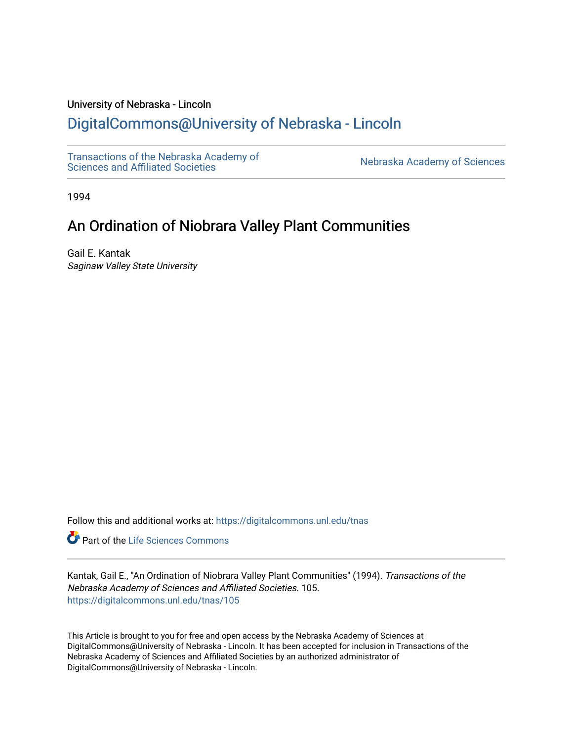## University of Nebraska - Lincoln

# [DigitalCommons@University of Nebraska - Lincoln](https://digitalcommons.unl.edu/)

[Transactions of the Nebraska Academy of](https://digitalcommons.unl.edu/tnas)  Transactions of the Nebraska Academy of Sciences<br>Sciences and Affiliated Societies

1994

# An Ordination of Niobrara Valley Plant Communities

Gail E. Kantak Saginaw Valley State University

Follow this and additional works at: [https://digitalcommons.unl.edu/tnas](https://digitalcommons.unl.edu/tnas?utm_source=digitalcommons.unl.edu%2Ftnas%2F105&utm_medium=PDF&utm_campaign=PDFCoverPages) 

Part of the [Life Sciences Commons](http://network.bepress.com/hgg/discipline/1016?utm_source=digitalcommons.unl.edu%2Ftnas%2F105&utm_medium=PDF&utm_campaign=PDFCoverPages) 

Kantak, Gail E., "An Ordination of Niobrara Valley Plant Communities" (1994). Transactions of the Nebraska Academy of Sciences and Affiliated Societies. 105. [https://digitalcommons.unl.edu/tnas/105](https://digitalcommons.unl.edu/tnas/105?utm_source=digitalcommons.unl.edu%2Ftnas%2F105&utm_medium=PDF&utm_campaign=PDFCoverPages) 

This Article is brought to you for free and open access by the Nebraska Academy of Sciences at DigitalCommons@University of Nebraska - Lincoln. It has been accepted for inclusion in Transactions of the Nebraska Academy of Sciences and Affiliated Societies by an authorized administrator of DigitalCommons@University of Nebraska - Lincoln.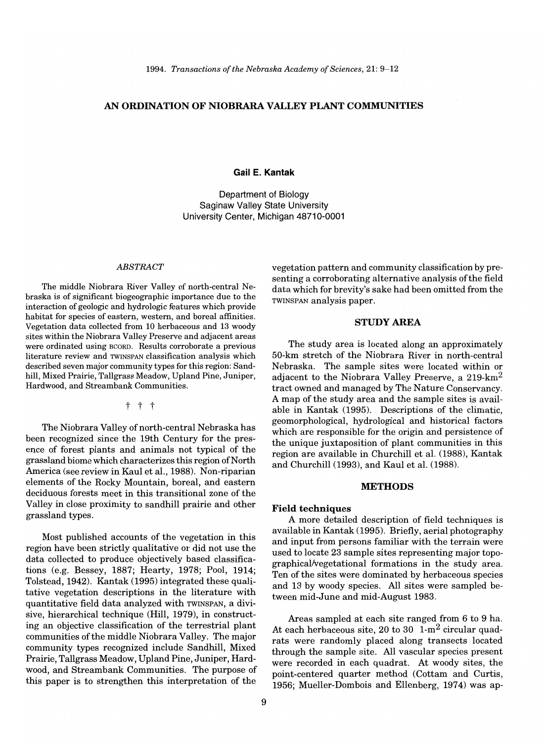## **AN ORDINATION OF NIOBRARA VALLEY PLANT COMMUNITIES**

## **Gail E. Kantak**

Department of Biology Saginaw Valley State University University Center, Michigan 48710-0001

#### *ABSTRACT*

The middle Niobrara River Valley of north-central Nebraska is of significant biogeographic importance due to the interaction of geologic and hydrologic features which provide habitat for species of eastern, western, and boreal affinities. Vegetation data collected from 10 herbaceous and 13 woody sites within the Niobrara Valley Preserve and adjacent areas were ordinated using BCORD. Results corroborate a previous literature review and TWINSPAN classification analysis which described seven major community types for this region: Sandhill, Mixed Prairie, Tallgrass Meadow, Upland Pine, Juniper, Hardwood, and Streambank Communities.

t t t

The Niobrara Valley of north-central Nebraska has been recognized since the 19th Century for the presence of forest plants and animals not typical of the grassland biome which characterizes this region of North America (see review in Kaul et aI., 1988). Non-riparian elements of the Rocky Mountain, boreal, and eastern deciduous forests meet in this transitional zone of the Valley in close proximity to sandhill prairie and other grassland types.

Most published accounts of the vegetation in this region have been strictly qualitative or did not use the data collected to produce objectively based classifications (e.g. Bessey, 1887; Hearty, 1978; Pool, 1914; Tolstead,1942). Kantak (1995) integrated these qualitative vegetation descriptions in the literature with quantitative field data analyzed with TWINSPAN, a divisive, hierarchical technique (Hill, 1979), in constructing an objective classification of the terrestrial plant communities of the middle Niobrara Valley. The major community types recognized include Sandhill, Mixed Prairie, Tallgrass Meadow, Upland Pine, Juniper, Hardwood, and Streambank Communities. The purpose of this paper is to strengthen this interpretation of the

vegetation pattern and community classification by presenting a corroborating alternative analysis of the field data which for brevity's sake had been omitted from the TWINSPAN analysis paper.

## **STUDY AREA**

The study area is located along an approximately 50-km stretch of the Niobrara River in north-central Nebraska. The sample sites were located within or adjacent to the Niobrara Valley Preserve, a  $219 \text{-} \text{km}^2$ tract owned and managed by The Nature Conservancy. A map of the study area and the sample sites is available in Kantak (1995). Descriptions of the climatic, geomorphological, hydrological and historical factors which are responsible for the origin and persistence of the unique juxtaposition of plant communities in this region are available in Churchill et a1. (1988), Kantak and Churchill (1993), and Kaul et a1. (1988).

## **METHODS**

#### **Field techniques**

A more detailed description of field techniques is available in Kantak (1995). Briefly, aerial photography and input from persons familiar with the terrain were used to locate 23 sample sites representing major topographical/vegetational formations in the study area. Ten of the sites were dominated by herbaceous species and 13 by woody species. All sites were sampled between mid-June and mid-August 1983.

Areas sampled at each site ranged from 6 to 9 ha. At each herbaceous site, 20 to 30  $1-m^2$  circular quadrats were randomly placed along transects located through the sample site. All vascular species present were recorded in each quadrat. At woody sites, the point-centered quarter method (Cottam and Curtis, 1956; Mueller-Dombois and Ellenberg, 1974) was ap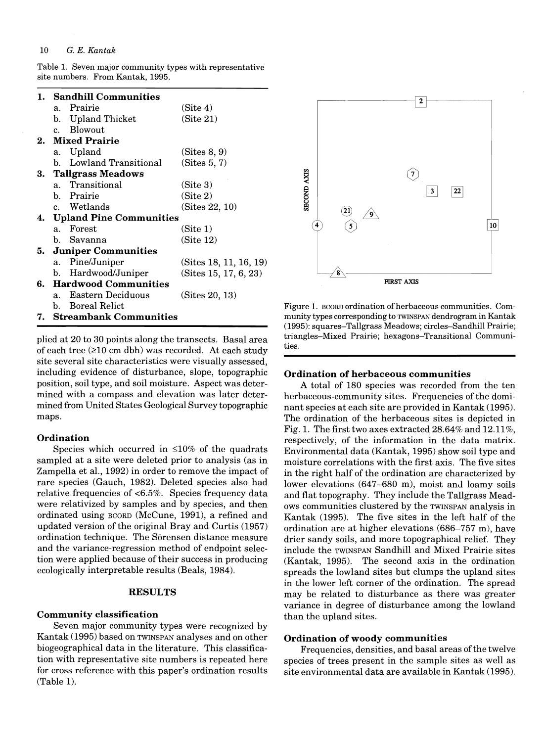Table 1. Seven major community types with representative site numbers. From Kantak, 1995.

| 1. |                            | <b>Sandhill Communities</b> |                       |  |
|----|----------------------------|-----------------------------|-----------------------|--|
|    |                            | a. Prairie                  | (Site 4)              |  |
|    |                            | b. Upland Thicket           | (Site 21)             |  |
|    |                            | c. Blowout                  |                       |  |
|    |                            | 2. Mixed Prairie            |                       |  |
|    |                            | a. Upland                   | (Sites 8, 9)          |  |
|    |                            | b. Lowland Transitional     | (Sites 5, 7)          |  |
|    |                            | 3. Tallgrass Meadows        |                       |  |
|    |                            | a. Transitional             | (Site 3)              |  |
|    |                            | b. Prairie                  | (Site 2)              |  |
|    |                            | c. Wetlands                 | (Sites 22, 10)        |  |
|    | 4. Upland Pine Communities |                             |                       |  |
|    |                            | a. Forest                   | (Site 1)              |  |
|    |                            | b. Savanna                  | (Site 12)             |  |
|    | 5. Juniper Communities     |                             |                       |  |
|    |                            | a. Pine/Juniper             | (Stes 18, 11, 16, 19) |  |
|    | b.                         | Hardwood/Juniper            | (Sites 15, 17, 6, 23) |  |
|    |                            | 6. Hardwood Communities     |                       |  |
|    | a.                         | Eastern Deciduous           | (Sites 20, 13)        |  |
|    |                            | b. Boreal Relict            |                       |  |
|    | 7. Streambank Communities  |                             |                       |  |

plied at 20 to 30 points along the transects. Basal area of each tree  $(210 \text{ cm} \text{ db})$  was recorded. At each study site several site characteristics were visually assessed, including evidence of disturbance, slope, topographic position, soil type, and soil moisture. Aspect was determined with a compass and elevation was later determined from United States Geological Survey topographic maps.

## **Ordination**

Species which occurred in  $\leq 10\%$  of the quadrats sampled at a site were deleted prior to analysis (as in Zampella et aI., 1992) in order to remove the impact of rare species (Gauch, 1982). Deleted species also had relative frequencies of <6.5%. Species frequency data were relativized by samples and by species, and then ordinated using BeORD (McCune, 1991), a refined and updated version of the original Bray and Curtis (1957) ordination technique. The Sorensen distance measure and the variance-regression method of endpoint selection were applied because of their success in producing ecologically interpretable results (Beals, 1984).

## **RESULTS**

## **Community classification**

Seven major community types were recognized by Kantak (1995) based on TWINSPAN analyses and on other biogeographical data in the literature. This classification with representative site numbers is repeated here for cross reference with this paper's ordination results (Table 1).



Figure 1. BeORD ordination of herbaceous communities. Community types corresponding to TWINSPAN dendrogram in Kantak (1995): squares-Tallgrass Meadows; circles-Sandhill Prairie; triangles-Mixed Prairie; hexagons-Transitional Communities.

## **Ordination of herbaceous communities**

A total of 180 species was recorded from the ten herbaceous-community sites. Frequencies of the dominant species at each site are provided in Kantak (1995). The ordination of the herbaceous sites is depicted in Fig. 1. The first two axes extracted  $28.64\%$  and  $12.11\%$ , respectively, of the information in the data matrix. Environmental data (Kantak, 1995) show soil type and moisture correlations with the first axis. The five sites in the right half of the ordination are characterized by lower elevations (647–680 m), moist and loamy soils and flat topography. They include the Tallgrass Meadows communities clustered by the TWINSPAN analysis in Kantak (1995). The five sites in the left half of the ordination are at higher elevations (686-757 m), have drier sandy soils, and more topographical relief. They include the TWINSPAN Sandhill and Mixed Prairie sites (Kantak, 1995). The second axis in the ordination spreads the lowland sites but clumps the upland sites in the lower left corner of the ordination. The spread may be related to disturbance as there was greater variance in degree of disturbance among the lowland than the upland sites.

## **Ordination of woody communities**

Frequencies, densities, and basal areas of the twelve species of trees present in the sample sites as well as site environmental data are available in Kantak (1995).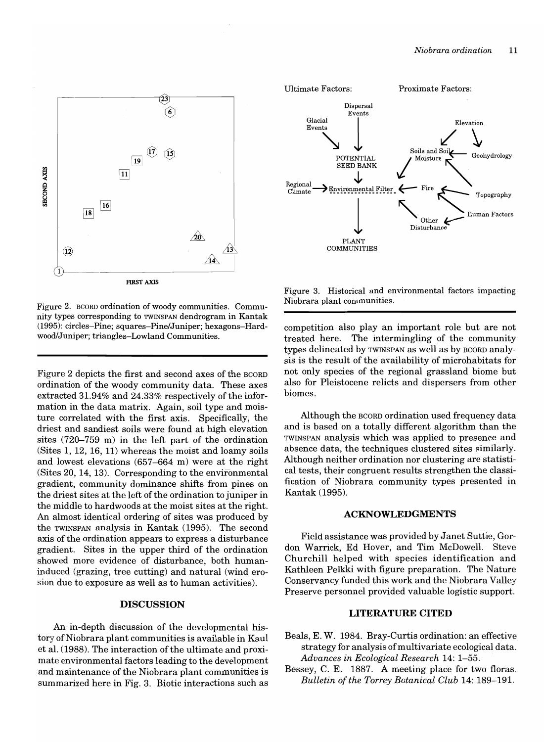

Figure 2. BeORD ordination of woody communities. Community types corresponding to TWINSPAN dendrogram in Kantak (1995): circles-Pine; squares-Pine/Juniper; hexagons-Hardwood/Juniper; triangles-Lowland Communities.

Figure 2 depicts the first and second axes of the BCORD ordination of the woody community data. These axes extracted 31.94% and 24.33% respectively of the information in the data matrix. Again, soil type and moisture correlated with the first axis. Specifically, the driest and sandiest soils were found at high elevation sites (720-759 m) in the left part of the ordination (Sites 1, 12, 16, 11) whereas the moist and loamy soils and lowest elevations (657-664 m) were at the right (Sites 20, 14, 13). Corresponding to the envifonmental gradient, community dominance shifts from pines on the driest sites at the left of the ordination to juniper in the middle to hardwoods at the moist sites at the right. An almost identical ordering of sites was produced by the TWINSPAN analysis in Kantak (1995). The second axis of the ordination appears to express a disturbance gradient. Sites in the upper third of the ordination showed more evidence of disturbance, both humaninduced (grazing, tree cutting) and natural (wind erosion due to exposure as well as to human activities).

### **DISCUSSION**

An in-depth discussion of the developmental history of Niobrara plant communities is available in Kaul et al. (1988). The interaction of the ultimate and proximate environmental factors leading to the development and maintenance of the Niobrara plant communities is summarized here in Fig. 3. Biotic interactions such as



Figure 3. Historical and environmental factors impacting Niobrara plant communities.

competition also play an important role but are not treated here. The intermingling of the community types delineated by TWINSPAN as well as by BCORD analysis is the result of the availability of microhabitats for not only species of the regional grassland biome but also for Pleistocene relicts and dispersers from other biomes.

Although the BCORD ordination used frequency data and is based on a totally different algorithm than the TWINSPAN analysis which was applied to presence and absence data, the techniques clustered sites similarly. Although neither ordination nor clustering are statistical tests, their congruent results strengthen the classification of Niobrara community types presented in Kantak (1995).

#### **ACKNOWLEDGMENTS**

Field assistance was provided by Janet Suttie, Gordon Warrick, Ed Hover, and Tim McDowell. Steve Churchill helped with species identification and Kathleen Pelkki with figure preparation. The Nature Conservancy funded this work and the Niobrara Valley Preserve personnel provided valuable logistic support.

## **LITERATURE CITED**

- Beals, E. W. 1984. Bray-Curtis ordination: an effective strategy for analysis of multivariate ecological data. *Advances in Ecological Research* 14: 1-55.
- Bessey, C. E. 1887. A meeting place for two floras. *Bulletin of the Torrey Botanical Club* 14: 189-191.